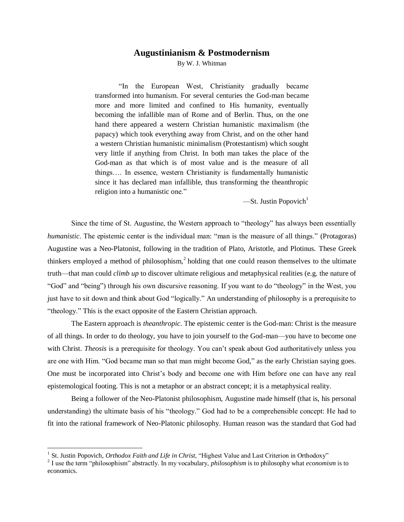## **Augustinianism & Postmodernism**

By W. J. Whitman

"In the European West, Christianity gradually became transformed into humanism. For several centuries the God-man became more and more limited and confined to His humanity, eventually becoming the infallible man of Rome and of Berlin. Thus, on the one hand there appeared a western Christian humanistic maximalism (the papacy) which took everything away from Christ, and on the other hand a western Christian humanistic minimalism (Protestantism) which sought very little if anything from Christ. In both man takes the place of the God-man as that which is of most value and is the measure of all things…. In essence, western Christianity is fundamentally humanistic since it has declared man infallible, thus transforming the theanthropic religion into a humanistic one."

 $\text{---St.}$  Justin Popovich<sup>1</sup>

Since the time of St. Augustine, the Western approach to "theology" has always been essentially *humanistic*. The epistemic center is the individual man: "man is the measure of all things." (Protagoras) Augustine was a Neo-Platonist, following in the tradition of Plato, Aristotle, and Plotinus. These Greek thinkers employed a method of philosophism, $<sup>2</sup>$  holding that one could reason themselves to the ultimate</sup> truth—that man could *climb up* to discover ultimate religious and metaphysical realities (e.g. the nature of "God" and "being") through his own discursive reasoning. If you want to do "theology" in the West, you just have to sit down and think about God "logically." An understanding of philosophy is a prerequisite to "theology." This is the exact opposite of the Eastern Christian approach.

The Eastern approach is *theanthropic*. The epistemic center is the God-man: Christ is the measure of all things. In order to do theology, you have to join yourself to the God-man—you have to become one with Christ. *Theosis* is a prerequisite for theology. You can't speak about God authoritatively unless you are one with Him. "God became man so that man might become God," as the early Christian saying goes. One must be incorporated into Christ's body and become one with Him before one can have any real epistemological footing. This is not a metaphor or an abstract concept; it is a metaphysical reality.

Being a follower of the Neo-Platonist philosophism, Augustine made himself (that is, his personal understanding) the ultimate basis of his "theology." God had to be a comprehensible concept: He had to fit into the rational framework of Neo-Platonic philosophy. Human reason was the standard that God had

 $\overline{a}$ 

<sup>&</sup>lt;sup>1</sup> St. Justin Popovich, *Orthodox Faith and Life in Christ*, "Highest Value and Last Criterion in Orthodoxy"

<sup>2</sup> I use the term "philosophism" abstractly. In my vocabulary, *philosophism* is to philosophy what *economism* is to economics.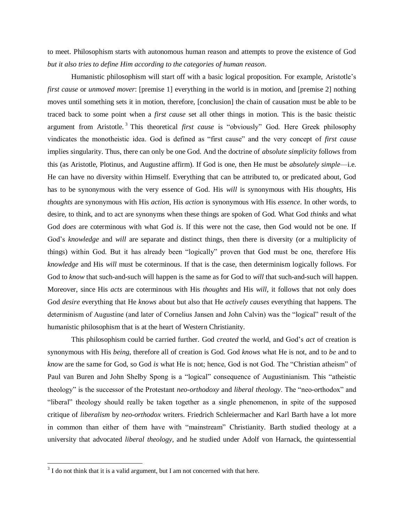to meet. Philosophism starts with autonomous human reason and attempts to prove the existence of God *but it also tries to define Him according to the categories of human reason*.

Humanistic philosophism will start off with a basic logical proposition. For example, Aristotle's *first cause* or *unmoved mover*: [premise 1] everything in the world is in motion, and [premise 2] nothing moves until something sets it in motion, therefore, [conclusion] the chain of causation must be able to be traced back to some point when a *first cause* set all other things in motion. This is the basic theistic argument from Aristotle. <sup>3</sup> This theoretical *first cause* is "obviously" God. Here Greek philosophy vindicates the monotheistic idea. God is defined as "first cause" and the very concept of *first cause* implies singularity. Thus, there can only be one God. And the doctrine of *absolute simplicity* follows from this (as Aristotle, Plotinus, and Augustine affirm). If God is one, then He must be *absolutely simple*—i.e. He can have no diversity within Himself. Everything that can be attributed to, or predicated about, God has to be synonymous with the very essence of God. His *will* is synonymous with His *thoughts*, His *thoughts* are synonymous with His *action*, His *action* is synonymous with His *essence*. In other words, to desire, to think, and to act are synonyms when these things are spoken of God. What God *thinks* and what God *does* are coterminous with what God *is*. If this were not the case, then God would not be one. If God's *knowledge* and *will* are separate and distinct things, then there is diversity (or a multiplicity of things) within God. But it has already been "logically" proven that God must be one, therefore His *knowledge* and His *will* must be coterminous. If that is the case, then determinism logically follows. For God to *know* that such-and-such will happen is the same as for God to *will* that such-and-such will happen. Moreover, since His *acts* are coterminous with His *thoughts* and His *will*, it follows that not only does God *desire* everything that He *knows* about but also that He *actively causes* everything that happens. The determinism of Augustine (and later of Cornelius Jansen and John Calvin) was the "logical" result of the humanistic philosophism that is at the heart of Western Christianity.

This philosophism could be carried further. God *created* the world, and God's *act* of creation is synonymous with His *being*, therefore all of creation is God. God *knows* what He is not, and to *be* and to *know* are the same for God, so God *is* what He is not; hence, God is not God. The "Christian atheism" of Paul van Buren and John Shelby Spong is a "logical" consequence of Augustinianism. This "atheistic theology" is the successor of the Protestant *neo-orthodoxy* and *liberal theology*. The "neo-orthodox" and "liberal" theology should really be taken together as a single phenomenon, in spite of the supposed critique of *liberalism* by *neo-orthodox* writers. Friedrich Schleiermacher and Karl Barth have a lot more in common than either of them have with "mainstream" Christianity. Barth studied theology at a university that advocated *liberal theology*, and he studied under Adolf von Harnack, the quintessential

 $\overline{a}$ 

 $3<sup>3</sup>$  I do not think that it is a valid argument, but I am not concerned with that here.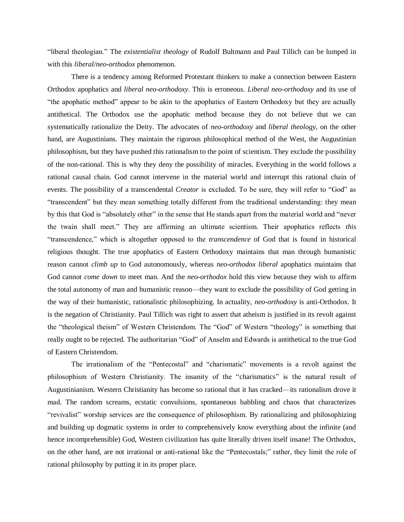"liberal theologian." The *existentialist theology* of Rudolf Bultmann and Paul Tillich can be lumped in with this *liberal/neo-orthodox* phenomenon.

There is a tendency among Reformed Protestant thinkers to make a connection between Eastern Orthodox apophatics and *liberal neo-orthodoxy*. This is erroneous. *Liberal neo-orthodoxy* and its use of "the apophatic method" appear to be akin to the apophatics of Eastern Orthodoxy but they are actually antithetical. The Orthodox use the apophatic method because they do not believe that we can systematically rationalize the Deity. The advocates of *neo-orthodoxy* and *liberal theology*, on the other hand, are Augustinians. They maintain the rigorous philosophical method of the West, the Augustinian philosophism, but they have pushed this rationalism to the point of scientism. They exclude the possibility of the non-rational. This is why they deny the possibility of miracles. Everything in the world follows a rational causal chain. God cannot intervene in the material world and interrupt this rational chain of events. The possibility of a transcendental *Creator* is excluded. To be sure, they will refer to "God" as "transcendent" but they mean something totally different from the traditional understanding: they mean by this that God is "absolutely other" in the sense that He stands apart from the material world and "never the twain shall meet." They are affirming an ultimate scientism. Their apophatics reflects *this* "transcendence," which is altogether opposed to the *transcendence* of God that is found in historical religious thought. The true apophatics of Eastern Orthodoxy maintains that man through humanistic reason cannot *climb up* to God autonomously, whereas *neo-orthodox liberal* apophatics maintains that God cannot *come down* to meet man. And the *neo-orthodox* hold this view because they wish to affirm the total autonomy of man and humanistic reason—they want to exclude the possibility of God getting in the way of their humanistic, rationalistic philosophizing. In actuality, *neo-orthodoxy* is anti-Orthodox. It is the negation of Christianity. Paul Tillich was right to assert that atheism is justified in its revolt against the "theological theism" of Western Christendom. The "God" of Western "theology" is something that really ought to be rejected. The authoritarian "God" of Anselm and Edwards is antithetical to the true God of Eastern Christendom.

The irrationalism of the "Pentecostal" and "charismatic" movements is a revolt against the philosophism of Western Christianity. The insanity of the "charismatics" is the natural result of Augustinianism. Western Christianity has become so rational that it has cracked—its rationalism drove it mad. The random screams, ecstatic convulsions, spontaneous babbling and chaos that characterizes "revivalist" worship services are the consequence of philosophism. By rationalizing and philosophizing and building up dogmatic systems in order to comprehensively know everything about the infinite (and hence incomprehensible) God, Western civilization has quite literally driven itself insane! The Orthodox, on the other hand, are not irrational or anti-rational like the "Pentecostals;" rather, they limit the role of rational philosophy by putting it in its proper place.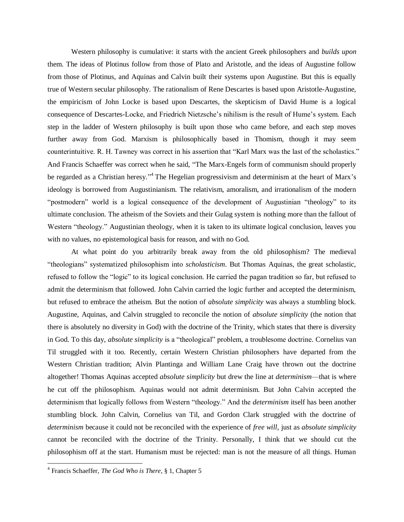Western philosophy is cumulative: it starts with the ancient Greek philosophers and *builds upon*  them. The ideas of Plotinus follow from those of Plato and Aristotle, and the ideas of Augustine follow from those of Plotinus, and Aquinas and Calvin built their systems upon Augustine. But this is equally true of Western secular philosophy. The rationalism of Rene Descartes is based upon Aristotle-Augustine, the empiricism of John Locke is based upon Descartes, the skepticism of David Hume is a logical consequence of Descartes-Locke, and Friedrich Nietzsche's nihilism is the result of Hume's system. Each step in the ladder of Western philosophy is built upon those who came before, and each step moves further away from God. Marxism is philosophically based in Thomism, though it may seem counterintuitive. R. H. Tawney was correct in his assertion that "Karl Marx was the last of the scholastics." And Francis Schaeffer was correct when he said, "The Marx-Engels form of communism should properly be regarded as a Christian heresy."<sup>4</sup> The Hegelian progressivism and determinism at the heart of Marx's ideology is borrowed from Augustinianism. The relativism, amoralism, and irrationalism of the modern "postmodern" world is a logical consequence of the development of Augustinian "theology" to its ultimate conclusion. The atheism of the Soviets and their Gulag system is nothing more than the fallout of Western "theology." Augustinian theology, when it is taken to its ultimate logical conclusion, leaves you with no values, no epistemological basis for reason, and with no God.

At what point do you arbitrarily break away from the old philosophism? The medieval "theologians" systematized philosophism into *scholasticism*. But Thomas Aquinas, the great scholastic, refused to follow the "logic" to its logical conclusion. He carried the pagan tradition so far, but refused to admit the determinism that followed. John Calvin carried the logic further and accepted the determinism, but refused to embrace the atheism. But the notion of *absolute simplicity* was always a stumbling block. Augustine, Aquinas, and Calvin struggled to reconcile the notion of *absolute simplicity* (the notion that there is absolutely no diversity in God) with the doctrine of the Trinity, which states that there is diversity in God. To this day, *absolute simplicity* is a "theological" problem, a troublesome doctrine. Cornelius van Til struggled with it too. Recently, certain Western Christian philosophers have departed from the Western Christian tradition; Alvin Plantinga and William Lane Craig have thrown out the doctrine altogether! Thomas Aquinas accepted *absolute simplicity* but drew the line at *determinism*—that is where he cut off the philosophism. Aquinas would not admit determinism. But John Calvin accepted the determinism that logically follows from Western "theology." And the *determinism* itself has been another stumbling block. John Calvin, Cornelius van Til, and Gordon Clark struggled with the doctrine of *determinism* because it could not be reconciled with the experience of *free will*, just as *absolute simplicity* cannot be reconciled with the doctrine of the Trinity. Personally, I think that we should cut the philosophism off at the start. Humanism must be rejected: man is not the measure of all things. Human

 $\overline{a}$ 

<sup>4</sup> Francis Schaeffer, *The God Who is There*, § 1, Chapter 5